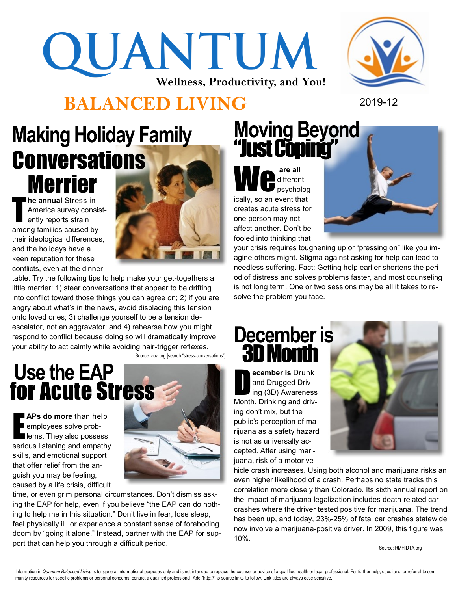# QUANTUM **Wellness, Productivity, and You!**

#### **BALANCED LIVING** 2019-12



## **Making Holiday Family Conversations Merrier A. Merrier**

T **he annual** Stress in America survey consistently reports strain among families caused by their ideological differences, and the holidays have a keen reputation for these conflicts, even at the dinner



table. Try the following tips to help make your get-togethers a little merrier: 1) steer conversations that appear to be drifting into conflict toward those things you can agree on; 2) if you are angry about what's in the news, avoid displacing this tension onto loved ones; 3) challenge yourself to be a tension deescalator, not an aggravator; and 4) rehearse how you might respond to conflict because doing so will dramatically improve your ability to act calmly while avoiding hair-trigger reflexes. Source: apa.org [search "stress-conversations"]



**APs do more than help**<br> **E** employees solve prob-<br> **E** lems. They also possess employees solve problems. They also possess serious listening and empathy skills, and emotional support that offer relief from the anguish you may be feeling, caused by a life crisis, difficult



time, or even grim personal circumstances. Don't dismiss asking the EAP for help, even if you believe "the EAP can do nothing to help me in this situation." Don't live in fear, lose sleep, feel physically ill, or experience a constant sense of foreboding doom by "going it alone." Instead, partner with the EAP for support that can help you through a difficult period.

### **Moving Beyond**  "Just Coping"

different psychologically, so an event that creates acute stress for one person may not affect another. Don't be fooled into thinking that



your crisis requires toughening up or "pressing on" like you imagine others might. Stigma against asking for help can lead to needless suffering. Fact: Getting help earlier shortens the period of distress and solves problems faster, and most counseling is not long term. One or two sessions may be all it takes to resolve the problem you face.

#### **December is** 3D Month

D **ecember is** Drunk and Drugged Driving (3D) Awareness Month. Drinking and driving don't mix, but the public's perception of marijuana as a safety hazard is not as universally accepted. After using marijuana, risk of a motor ve-



hicle crash increases. Using both alcohol and marijuana risks an even higher likelihood of a crash. Perhaps no state tracks this correlation more closely than Colorado. Its sixth annual report on the impact of marijuana legalization includes death-related car crashes where the driver tested positive for marijuana. The trend has been up, and today, 23%-25% of fatal car crashes statewide now involve a marijuana-positive driver. In 2009, this figure was 10%.